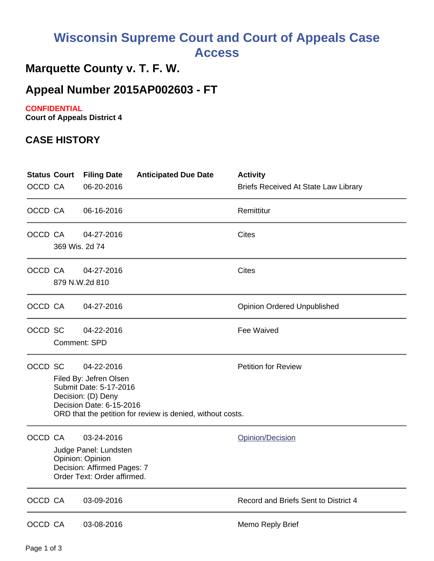# **Wisconsin Supreme Court and Court of Appeals Case Access**

## **Marquette County v. T. F. W.**

### **Appeal Number 2015AP002603 - FT**

#### **CONFIDENTIAL**

**Court of Appeals District 4**

#### **CASE HISTORY**

| <b>Status Court</b><br>OCCD CA |                     | <b>Filing Date</b><br>06-20-2016                                                                                      | <b>Anticipated Due Date</b>                                | <b>Activity</b><br><b>Briefs Received At State Law Library</b> |
|--------------------------------|---------------------|-----------------------------------------------------------------------------------------------------------------------|------------------------------------------------------------|----------------------------------------------------------------|
| OCCD CA                        |                     | 06-16-2016                                                                                                            |                                                            | Remittitur                                                     |
| OCCD CA                        | 369 Wis. 2d 74      | 04-27-2016                                                                                                            |                                                            | <b>Cites</b>                                                   |
| OCCD CA                        |                     | 04-27-2016<br>879 N.W.2d 810                                                                                          |                                                            | <b>Cites</b>                                                   |
| OCCD CA                        |                     | 04-27-2016                                                                                                            |                                                            | <b>Opinion Ordered Unpublished</b>                             |
| OCCD SC                        | <b>Comment: SPD</b> | 04-22-2016                                                                                                            |                                                            | <b>Fee Waived</b>                                              |
| OCCD SC                        |                     | 04-22-2016<br>Filed By: Jefren Olsen<br>Submit Date: 5-17-2016<br>Decision: (D) Deny<br>Decision Date: 6-15-2016      | ORD that the petition for review is denied, without costs. | <b>Petition for Review</b>                                     |
| OCCD CA                        |                     | 03-24-2016<br>Judge Panel: Lundsten<br>Opinion: Opinion<br>Decision: Affirmed Pages: 7<br>Order Text: Order affirmed. |                                                            | Opinion/Decision                                               |
| OCCD CA                        |                     | 03-09-2016                                                                                                            |                                                            | Record and Briefs Sent to District 4                           |
| OCCD CA                        |                     | 03-08-2016                                                                                                            |                                                            | Memo Reply Brief                                               |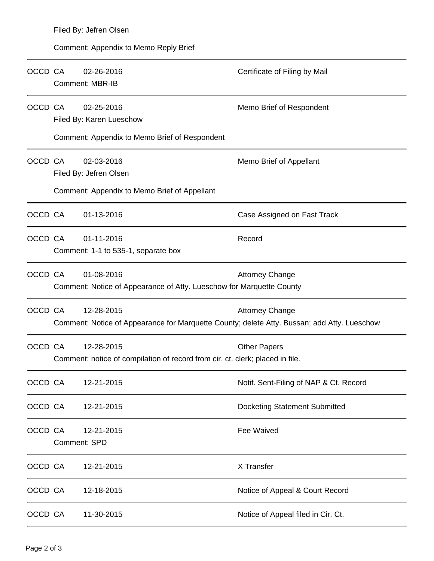| OCCD CA | 02-26-2016<br><b>Comment: MBR-IB</b>                                                                      | Certificate of Filing by Mail          |
|---------|-----------------------------------------------------------------------------------------------------------|----------------------------------------|
| OCCD CA | 02-25-2016<br>Filed By: Karen Lueschow<br>Comment: Appendix to Memo Brief of Respondent                   | Memo Brief of Respondent               |
| OCCD CA | 02-03-2016<br>Filed By: Jefren Olsen<br>Comment: Appendix to Memo Brief of Appellant                      | Memo Brief of Appellant                |
| OCCD CA | 01-13-2016                                                                                                | Case Assigned on Fast Track            |
| OCCD CA | 01-11-2016<br>Comment: 1-1 to 535-1, separate box                                                         | Record                                 |
| OCCD CA | 01-08-2016<br>Comment: Notice of Appearance of Atty. Lueschow for Marquette County                        | <b>Attorney Change</b>                 |
| OCCD CA | 12-28-2015<br>Comment: Notice of Appearance for Marquette County; delete Atty. Bussan; add Atty. Lueschow | <b>Attorney Change</b>                 |
| OCCD CA | 12-28-2015<br>Comment: notice of compilation of record from cir. ct. clerk; placed in file.               | <b>Other Papers</b>                    |
| OCCD CA | 12-21-2015                                                                                                | Notif. Sent-Filing of NAP & Ct. Record |
| OCCD CA | 12-21-2015                                                                                                | <b>Docketing Statement Submitted</b>   |
| OCCD CA | 12-21-2015<br>Comment: SPD                                                                                | Fee Waived                             |
| OCCD CA | 12-21-2015                                                                                                | X Transfer                             |
| OCCD CA | 12-18-2015                                                                                                | Notice of Appeal & Court Record        |
| OCCD CA | 11-30-2015                                                                                                | Notice of Appeal filed in Cir. Ct.     |